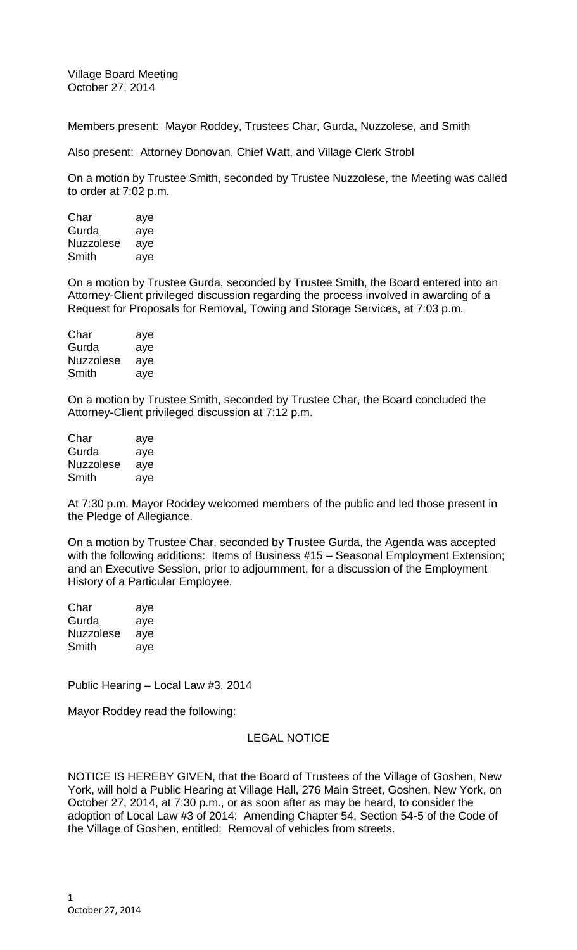Village Board Meeting October 27, 2014

Members present: Mayor Roddey, Trustees Char, Gurda, Nuzzolese, and Smith

Also present: Attorney Donovan, Chief Watt, and Village Clerk Strobl

On a motion by Trustee Smith, seconded by Trustee Nuzzolese, the Meeting was called to order at 7:02 p.m.

| Char             | aye |
|------------------|-----|
| Gurda            | aye |
| <b>Nuzzolese</b> | aye |
| Smith            | aye |

On a motion by Trustee Gurda, seconded by Trustee Smith, the Board entered into an Attorney-Client privileged discussion regarding the process involved in awarding of a Request for Proposals for Removal, Towing and Storage Services, at 7:03 p.m.

| Char             | aye |
|------------------|-----|
| Gurda            | aye |
| <b>Nuzzolese</b> | aye |
| Smith            | aye |

On a motion by Trustee Smith, seconded by Trustee Char, the Board concluded the Attorney-Client privileged discussion at 7:12 p.m.

| Char             | aye |
|------------------|-----|
| Gurda            | aye |
| <b>Nuzzolese</b> | aye |
| Smith            | aye |

At 7:30 p.m. Mayor Roddey welcomed members of the public and led those present in the Pledge of Allegiance.

On a motion by Trustee Char, seconded by Trustee Gurda, the Agenda was accepted with the following additions: Items of Business #15 - Seasonal Employment Extension; and an Executive Session, prior to adjournment, for a discussion of the Employment History of a Particular Employee.

| Char             | aye |
|------------------|-----|
| Gurda            | aye |
| <b>Nuzzolese</b> | aye |
| Smith            | aye |

Public Hearing – Local Law #3, 2014

Mayor Roddey read the following:

## LEGAL NOTICE

NOTICE IS HEREBY GIVEN, that the Board of Trustees of the Village of Goshen, New York, will hold a Public Hearing at Village Hall, 276 Main Street, Goshen, New York, on October 27, 2014, at 7:30 p.m., or as soon after as may be heard, to consider the adoption of Local Law #3 of 2014: Amending Chapter 54, Section 54-5 of the Code of the Village of Goshen, entitled: Removal of vehicles from streets.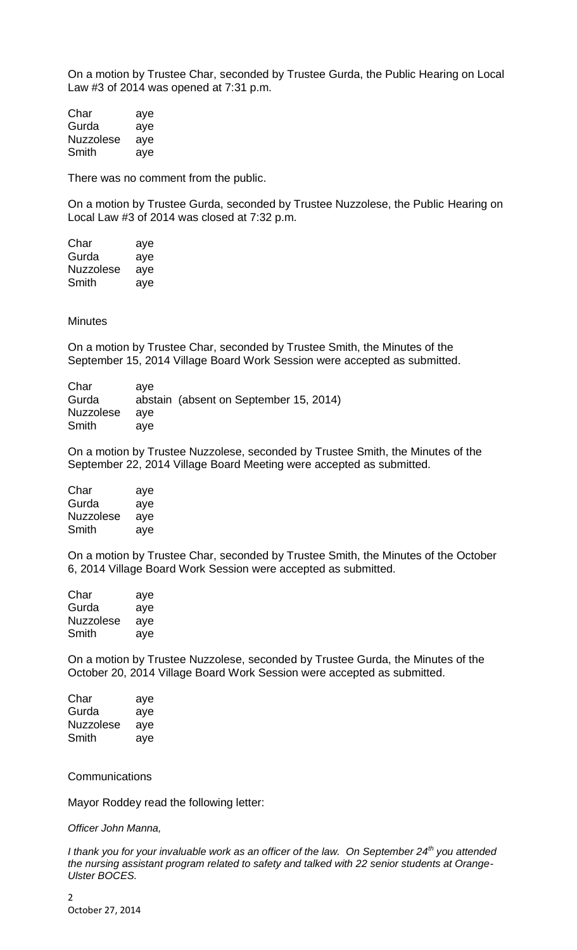On a motion by Trustee Char, seconded by Trustee Gurda, the Public Hearing on Local Law #3 of 2014 was opened at 7:31 p.m.

| Char             | aye |
|------------------|-----|
| Gurda            | aye |
| <b>Nuzzolese</b> | aye |
| Smith            | aye |

There was no comment from the public.

On a motion by Trustee Gurda, seconded by Trustee Nuzzolese, the Public Hearing on Local Law #3 of 2014 was closed at 7:32 p.m.

| Char             | aye |
|------------------|-----|
| Gurda            | aye |
| <b>Nuzzolese</b> | ave |
| Smith            | aye |

**Minutes** 

On a motion by Trustee Char, seconded by Trustee Smith, the Minutes of the September 15, 2014 Village Board Work Session were accepted as submitted.

| ave |     |                                        |
|-----|-----|----------------------------------------|
|     |     |                                        |
|     |     |                                        |
| ave |     |                                        |
|     | ave | abstain (absent on September 15, 2014) |

On a motion by Trustee Nuzzolese, seconded by Trustee Smith, the Minutes of the September 22, 2014 Village Board Meeting were accepted as submitted.

| Char             | aye |
|------------------|-----|
| Gurda            | aye |
| <b>Nuzzolese</b> | aye |
| Smith            | aye |

On a motion by Trustee Char, seconded by Trustee Smith, the Minutes of the October 6, 2014 Village Board Work Session were accepted as submitted.

| Char             | aye |
|------------------|-----|
| Gurda            | aye |
| <b>Nuzzolese</b> | aye |
| Smith            | aye |

On a motion by Trustee Nuzzolese, seconded by Trustee Gurda, the Minutes of the October 20, 2014 Village Board Work Session were accepted as submitted.

| Char      | aye |
|-----------|-----|
| Gurda     | aye |
| Nuzzolese | aye |
| Smith     | aye |

**Communications** 

Mayor Roddey read the following letter:

*Officer John Manna,*

*I thank you for your invaluable work as an officer of the law. On September 24th you attended the nursing assistant program related to safety and talked with 22 senior students at Orange-Ulster BOCES.*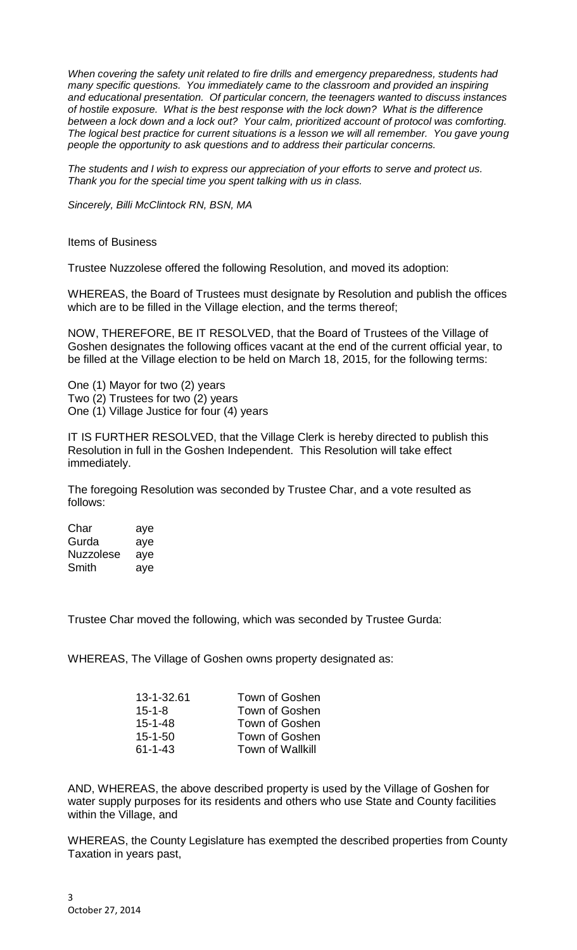*When covering the safety unit related to fire drills and emergency preparedness, students had many specific questions. You immediately came to the classroom and provided an inspiring and educational presentation. Of particular concern, the teenagers wanted to discuss instances of hostile exposure. What is the best response with the lock down? What is the difference between a lock down and a lock out? Your calm, prioritized account of protocol was comforting. The logical best practice for current situations is a lesson we will all remember. You gave young people the opportunity to ask questions and to address their particular concerns.*

*The students and I wish to express our appreciation of your efforts to serve and protect us. Thank you for the special time you spent talking with us in class.*

*Sincerely, Billi McClintock RN, BSN, MA*

Items of Business

Trustee Nuzzolese offered the following Resolution, and moved its adoption:

WHEREAS, the Board of Trustees must designate by Resolution and publish the offices which are to be filled in the Village election, and the terms thereof;

NOW, THEREFORE, BE IT RESOLVED, that the Board of Trustees of the Village of Goshen designates the following offices vacant at the end of the current official year, to be filled at the Village election to be held on March 18, 2015, for the following terms:

One (1) Mayor for two (2) years Two (2) Trustees for two (2) years One (1) Village Justice for four (4) years

IT IS FURTHER RESOLVED, that the Village Clerk is hereby directed to publish this Resolution in full in the Goshen Independent. This Resolution will take effect immediately.

The foregoing Resolution was seconded by Trustee Char, and a vote resulted as follows:

Char aye Gurda aye Nuzzolese aye Smith aye

Trustee Char moved the following, which was seconded by Trustee Gurda:

WHEREAS, The Village of Goshen owns property designated as:

| Town of Goshen          |
|-------------------------|
| Town of Goshen          |
| Town of Goshen          |
| Town of Goshen          |
| <b>Town of Wallkill</b> |
|                         |

AND, WHEREAS, the above described property is used by the Village of Goshen for water supply purposes for its residents and others who use State and County facilities within the Village, and

WHEREAS, the County Legislature has exempted the described properties from County Taxation in years past,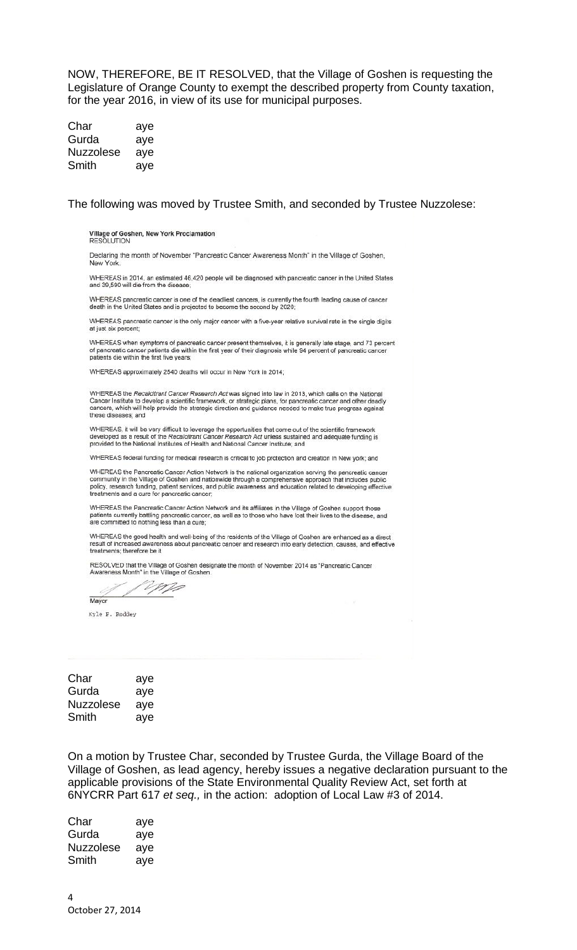NOW, THEREFORE, BE IT RESOLVED, that the Village of Goshen is requesting the Legislature of Orange County to exempt the described property from County taxation, for the year 2016, in view of its use for municipal purposes.

| Char             | aye |
|------------------|-----|
| Gurda            | aye |
| <b>Nuzzolese</b> | aye |
| Smith            | aye |

The following was moved by Trustee Smith, and seconded by Trustee Nuzzolese:

Village of Goshen, New York Proclamation<br>RESOLUTION

Declaring the month of November "Pancreatic Cancer Awareness Month" in the Village of Goshen, New York

WHEREAS in 2014, an estimated 46,420 people will be diagnosed with pancreatic cancer in the United States and 39,590 will die from the disease;

WHEREAS pancreatic cancer is one of the deadliest cancers, is currently the fourth leading cause of cancer death in the United States and is projected to become the second by 2020;

WHEREAS pancreatic cancer is the only major cancer with a five-year relative survival rate in the single digits at just six percent;

WHEREAS when symptoms of pancreatic cancer present themselves, it is generally late stage, and 73 percent of pancreatic cancer patients die within the first year of their diagnosis while 94 percent of pancreatic cancer patients die within the first five years;

WHEREAS approximately 2540 deaths will occur in New York in 2014:

WHEREAS the Recalcitrant Cancer Research Act was signed into law in 2013, which calls on the National Cancer Institute to develop a scientific framework, or strategic plans, for pancreatic cancer and other deadly<br>cancers, which will help provide the strategic direction and guidance needed to make true progress against<br>thes

WHEREAS, it will be very difficult to leverage the opportunities that come out of the scientific framework<br>developed as a result of the Recalcitrant Cancer Research Act unless sustained and adequate funding is<br>provided to

WHEREAS federal funding for medical research is critical to job protection and creation in New york; and

WHEREAS the Pancreatic Cancer Action Network is the national organization serving the pancreatic cancer<br>community in the Village of Goshen and nationwide through a comprehensive approach that includes public policy, research funding, patient services, and public awareness and education related to developing effective<br>treatments and a cure for pancreatic cancer;

WHEREAS the Pancreatic Cancer Action Network and its affiliates in the Village of Goshen support those patients currently battling pancreatic cancer, as well as to those who have lost their lives to the disease, and<br>are committed to nothing less than a cure;

WHEREAS the good health and well-being of the residents of the Village of Goshen are enhanced as a direct result of increas d awareness about pancreatic cancer and research into early detection, causes, and effective treatments; therefore be it

RESOLVED that the Village of Goshen designate the month of November 2014 as 'Pancreatic Cancer Awareness Month" in the Village of Goshen

MP Mayor

Kyle F. Roddey

| Char      | aye |
|-----------|-----|
| Gurda     | aye |
| Nuzzolese | aye |
| Smith     | aye |

On a motion by Trustee Char, seconded by Trustee Gurda, the Village Board of the Village of Goshen, as lead agency, hereby issues a negative declaration pursuant to the applicable provisions of the State Environmental Quality Review Act, set forth at 6NYCRR Part 617 *et seq.,* in the action: adoption of Local Law #3 of 2014.

| Char      | aye |
|-----------|-----|
| Gurda     | aye |
| Nuzzolese | aye |
| Smith     | aye |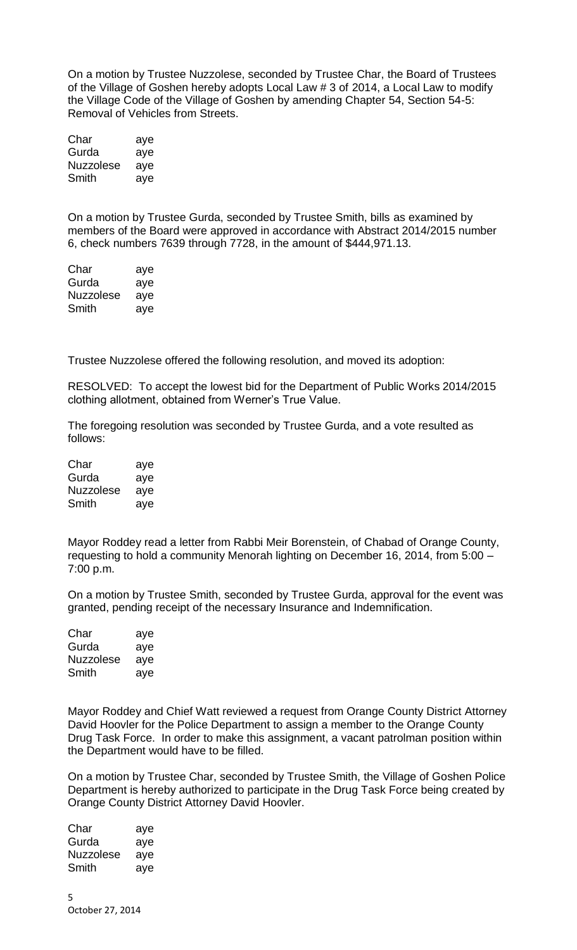On a motion by Trustee Nuzzolese, seconded by Trustee Char, the Board of Trustees of the Village of Goshen hereby adopts Local Law # 3 of 2014, a Local Law to modify the Village Code of the Village of Goshen by amending Chapter 54, Section 54-5: Removal of Vehicles from Streets.

| Char      | aye |
|-----------|-----|
| Gurda     | aye |
| Nuzzolese | aye |
| Smith     | aye |

On a motion by Trustee Gurda, seconded by Trustee Smith, bills as examined by members of the Board were approved in accordance with Abstract 2014/2015 number 6, check numbers 7639 through 7728, in the amount of \$444,971.13.

| Char             | aye |
|------------------|-----|
| Gurda            | aye |
| <b>Nuzzolese</b> | aye |
| Smith            | aye |

Trustee Nuzzolese offered the following resolution, and moved its adoption:

RESOLVED: To accept the lowest bid for the Department of Public Works 2014/2015 clothing allotment, obtained from Werner's True Value.

The foregoing resolution was seconded by Trustee Gurda, and a vote resulted as follows:

| Char      | aye |
|-----------|-----|
| Gurda     | aye |
| Nuzzolese | aye |
| Smith     | aye |

Mayor Roddey read a letter from Rabbi Meir Borenstein, of Chabad of Orange County, requesting to hold a community Menorah lighting on December 16, 2014, from 5:00 – 7:00 p.m.

On a motion by Trustee Smith, seconded by Trustee Gurda, approval for the event was granted, pending receipt of the necessary Insurance and Indemnification.

| Char             | aye |
|------------------|-----|
| Gurda            | aye |
| <b>Nuzzolese</b> | aye |
| Smith            | aye |

Mayor Roddey and Chief Watt reviewed a request from Orange County District Attorney David Hoovler for the Police Department to assign a member to the Orange County Drug Task Force. In order to make this assignment, a vacant patrolman position within the Department would have to be filled.

On a motion by Trustee Char, seconded by Trustee Smith, the Village of Goshen Police Department is hereby authorized to participate in the Drug Task Force being created by Orange County District Attorney David Hoovler.

| Char      | aye |
|-----------|-----|
| Gurda     | aye |
| Nuzzolese | aye |
| Smith     | aye |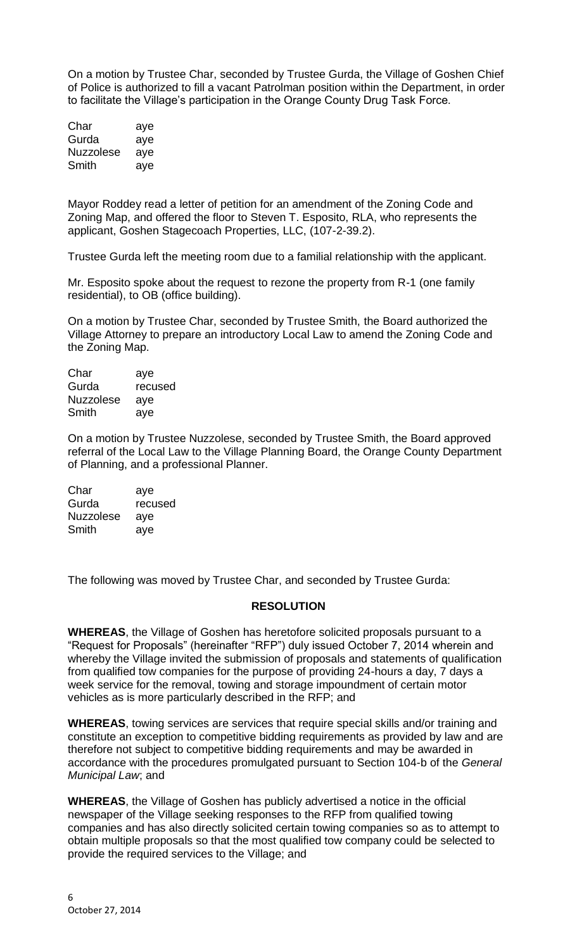On a motion by Trustee Char, seconded by Trustee Gurda, the Village of Goshen Chief of Police is authorized to fill a vacant Patrolman position within the Department, in order to facilitate the Village's participation in the Orange County Drug Task Force.

| Char             | aye |
|------------------|-----|
| Gurda            | aye |
| <b>Nuzzolese</b> | aye |
| Smith            | aye |

Mayor Roddey read a letter of petition for an amendment of the Zoning Code and Zoning Map, and offered the floor to Steven T. Esposito, RLA, who represents the applicant, Goshen Stagecoach Properties, LLC, (107-2-39.2).

Trustee Gurda left the meeting room due to a familial relationship with the applicant.

Mr. Esposito spoke about the request to rezone the property from R-1 (one family residential), to OB (office building).

On a motion by Trustee Char, seconded by Trustee Smith, the Board authorized the Village Attorney to prepare an introductory Local Law to amend the Zoning Code and the Zoning Map.

| Char             | aye     |
|------------------|---------|
| Gurda            | recused |
| <b>Nuzzolese</b> | aye     |
| Smith            | aye     |

On a motion by Trustee Nuzzolese, seconded by Trustee Smith, the Board approved referral of the Local Law to the Village Planning Board, the Orange County Department of Planning, and a professional Planner.

| Char             | aye     |
|------------------|---------|
| Gurda            | recused |
| <b>Nuzzolese</b> | aye     |
| Smith            | aye     |

The following was moved by Trustee Char, and seconded by Trustee Gurda:

## **RESOLUTION**

**WHEREAS**, the Village of Goshen has heretofore solicited proposals pursuant to a "Request for Proposals" (hereinafter "RFP") duly issued October 7, 2014 wherein and whereby the Village invited the submission of proposals and statements of qualification from qualified tow companies for the purpose of providing 24-hours a day, 7 days a week service for the removal, towing and storage impoundment of certain motor vehicles as is more particularly described in the RFP; and

**WHEREAS**, towing services are services that require special skills and/or training and constitute an exception to competitive bidding requirements as provided by law and are therefore not subject to competitive bidding requirements and may be awarded in accordance with the procedures promulgated pursuant to Section 104-b of the *General Municipal Law*; and

**WHEREAS**, the Village of Goshen has publicly advertised a notice in the official newspaper of the Village seeking responses to the RFP from qualified towing companies and has also directly solicited certain towing companies so as to attempt to obtain multiple proposals so that the most qualified tow company could be selected to provide the required services to the Village; and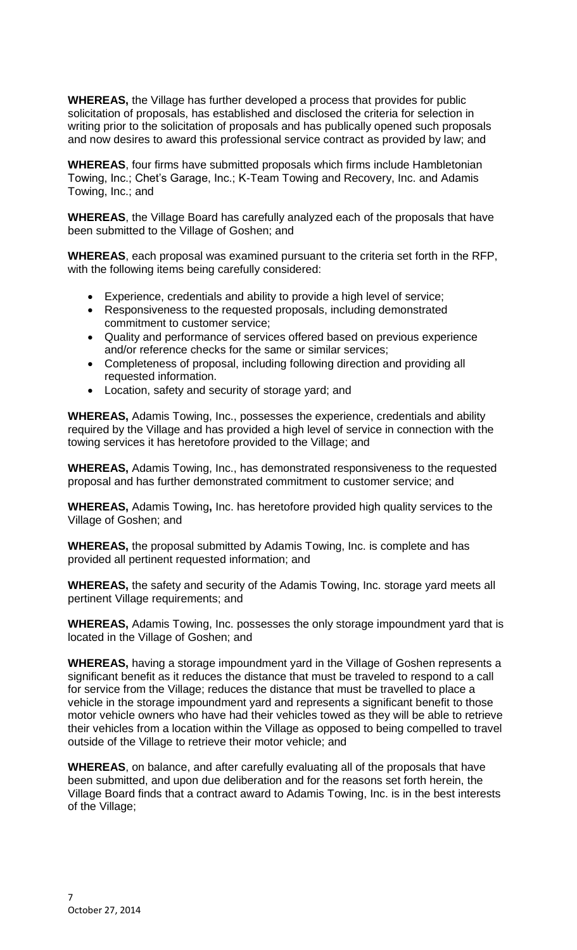**WHEREAS,** the Village has further developed a process that provides for public solicitation of proposals, has established and disclosed the criteria for selection in writing prior to the solicitation of proposals and has publically opened such proposals and now desires to award this professional service contract as provided by law; and

**WHEREAS**, four firms have submitted proposals which firms include Hambletonian Towing, Inc.; Chet's Garage, Inc.; K-Team Towing and Recovery, Inc. and Adamis Towing, Inc.; and

**WHEREAS**, the Village Board has carefully analyzed each of the proposals that have been submitted to the Village of Goshen; and

**WHEREAS**, each proposal was examined pursuant to the criteria set forth in the RFP, with the following items being carefully considered:

- Experience, credentials and ability to provide a high level of service;
- Responsiveness to the requested proposals, including demonstrated commitment to customer service;
- Quality and performance of services offered based on previous experience and/or reference checks for the same or similar services;
- Completeness of proposal, including following direction and providing all requested information.
- Location, safety and security of storage yard; and

**WHEREAS,** Adamis Towing, Inc., possesses the experience, credentials and ability required by the Village and has provided a high level of service in connection with the towing services it has heretofore provided to the Village; and

**WHEREAS,** Adamis Towing, Inc., has demonstrated responsiveness to the requested proposal and has further demonstrated commitment to customer service; and

**WHEREAS,** Adamis Towing**,** Inc. has heretofore provided high quality services to the Village of Goshen; and

**WHEREAS,** the proposal submitted by Adamis Towing, Inc. is complete and has provided all pertinent requested information; and

**WHEREAS,** the safety and security of the Adamis Towing, Inc. storage yard meets all pertinent Village requirements; and

**WHEREAS,** Adamis Towing, Inc. possesses the only storage impoundment yard that is located in the Village of Goshen; and

**WHEREAS,** having a storage impoundment yard in the Village of Goshen represents a significant benefit as it reduces the distance that must be traveled to respond to a call for service from the Village; reduces the distance that must be travelled to place a vehicle in the storage impoundment yard and represents a significant benefit to those motor vehicle owners who have had their vehicles towed as they will be able to retrieve their vehicles from a location within the Village as opposed to being compelled to travel outside of the Village to retrieve their motor vehicle; and

**WHEREAS**, on balance, and after carefully evaluating all of the proposals that have been submitted, and upon due deliberation and for the reasons set forth herein, the Village Board finds that a contract award to Adamis Towing, Inc. is in the best interests of the Village;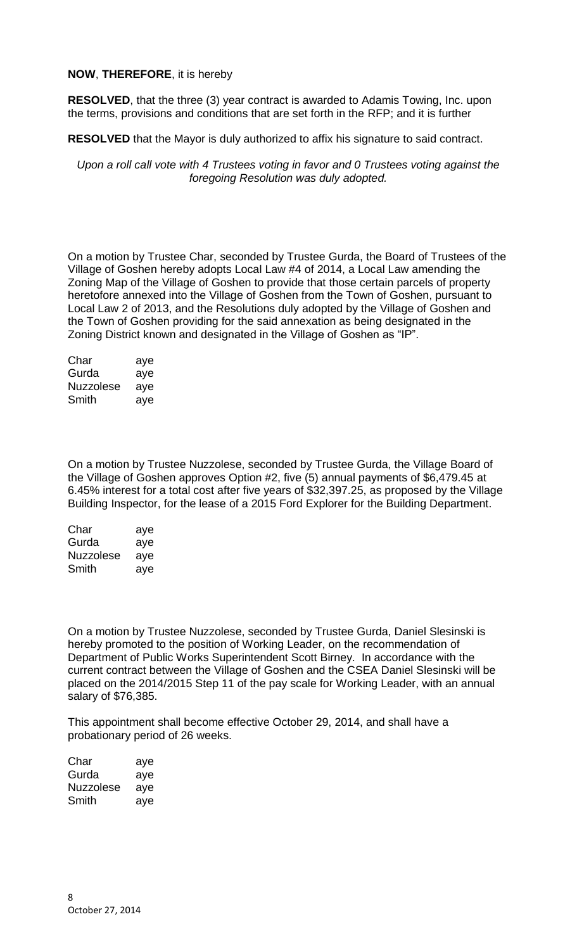## **NOW**, **THEREFORE**, it is hereby

**RESOLVED**, that the three (3) year contract is awarded to Adamis Towing, Inc. upon the terms, provisions and conditions that are set forth in the RFP; and it is further

**RESOLVED** that the Mayor is duly authorized to affix his signature to said contract.

*Upon a roll call vote with 4 Trustees voting in favor and 0 Trustees voting against the foregoing Resolution was duly adopted.*

On a motion by Trustee Char, seconded by Trustee Gurda, the Board of Trustees of the Village of Goshen hereby adopts Local Law #4 of 2014, a Local Law amending the Zoning Map of the Village of Goshen to provide that those certain parcels of property heretofore annexed into the Village of Goshen from the Town of Goshen, pursuant to Local Law 2 of 2013, and the Resolutions duly adopted by the Village of Goshen and the Town of Goshen providing for the said annexation as being designated in the Zoning District known and designated in the Village of Goshen as "IP".

| Char             | aye |
|------------------|-----|
| Gurda            | aye |
| <b>Nuzzolese</b> | aye |
| Smith            | aye |

On a motion by Trustee Nuzzolese, seconded by Trustee Gurda, the Village Board of the Village of Goshen approves Option #2, five (5) annual payments of \$6,479.45 at 6.45% interest for a total cost after five years of \$32,397.25, as proposed by the Village Building Inspector, for the lease of a 2015 Ford Explorer for the Building Department.

| Char      | aye |
|-----------|-----|
| Gurda     | aye |
| Nuzzolese | aye |
| Smith     | ave |

On a motion by Trustee Nuzzolese, seconded by Trustee Gurda, Daniel Slesinski is hereby promoted to the position of Working Leader, on the recommendation of Department of Public Works Superintendent Scott Birney. In accordance with the current contract between the Village of Goshen and the CSEA Daniel Slesinski will be placed on the 2014/2015 Step 11 of the pay scale for Working Leader, with an annual salary of \$76,385.

This appointment shall become effective October 29, 2014, and shall have a probationary period of 26 weeks.

| Char      | aye |
|-----------|-----|
| Gurda     | aye |
| Nuzzolese | aye |
| Smith     | aye |